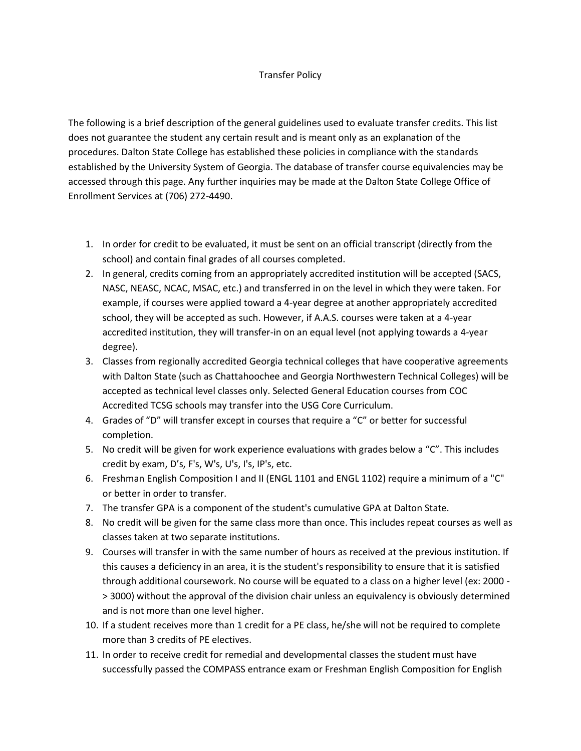## Transfer Policy

The following is a brief description of the general guidelines used to evaluate transfer credits. This list does not guarantee the student any certain result and is meant only as an explanation of the procedures. Dalton State College has established these policies in compliance with the standards established by the University System of Georgia. The database of transfer course equivalencies may be accessed through this page. Any further inquiries may be made at the Dalton State College Office of Enrollment Services at (706) 272-4490.

- 1. In order for credit to be evaluated, it must be sent on an official transcript (directly from the school) and contain final grades of all courses completed.
- 2. In general, credits coming from an appropriately accredited institution will be accepted (SACS, NASC, NEASC, NCAC, MSAC, etc.) and transferred in on the level in which they were taken. For example, if courses were applied toward a 4-year degree at another appropriately accredited school, they will be accepted as such. However, if A.A.S. courses were taken at a 4-year accredited institution, they will transfer-in on an equal level (not applying towards a 4-year degree).
- 3. Classes from regionally accredited Georgia technical colleges that have cooperative agreements with Dalton State (such as Chattahoochee and Georgia Northwestern Technical Colleges) will be accepted as technical level classes only. Selected General Education courses from COC Accredited TCSG schools may transfer into the USG Core Curriculum.
- 4. Grades of "D" will transfer except in courses that require a "C" or better for successful completion.
- 5. No credit will be given for work experience evaluations with grades below a "C". This includes credit by exam, D's, F's, W's, U's, I's, IP's, etc.
- 6. Freshman English Composition I and II (ENGL 1101 and ENGL 1102) require a minimum of a "C" or better in order to transfer.
- 7. The transfer GPA is a component of the student's cumulative GPA at Dalton State.
- 8. No credit will be given for the same class more than once. This includes repeat courses as well as classes taken at two separate institutions.
- 9. Courses will transfer in with the same number of hours as received at the previous institution. If this causes a deficiency in an area, it is the student's responsibility to ensure that it is satisfied through additional coursework. No course will be equated to a class on a higher level (ex: 2000 - > 3000) without the approval of the division chair unless an equivalency is obviously determined and is not more than one level higher.
- 10. If a student receives more than 1 credit for a PE class, he/she will not be required to complete more than 3 credits of PE electives.
- 11. In order to receive credit for remedial and developmental classes the student must have successfully passed the COMPASS entrance exam or Freshman English Composition for English